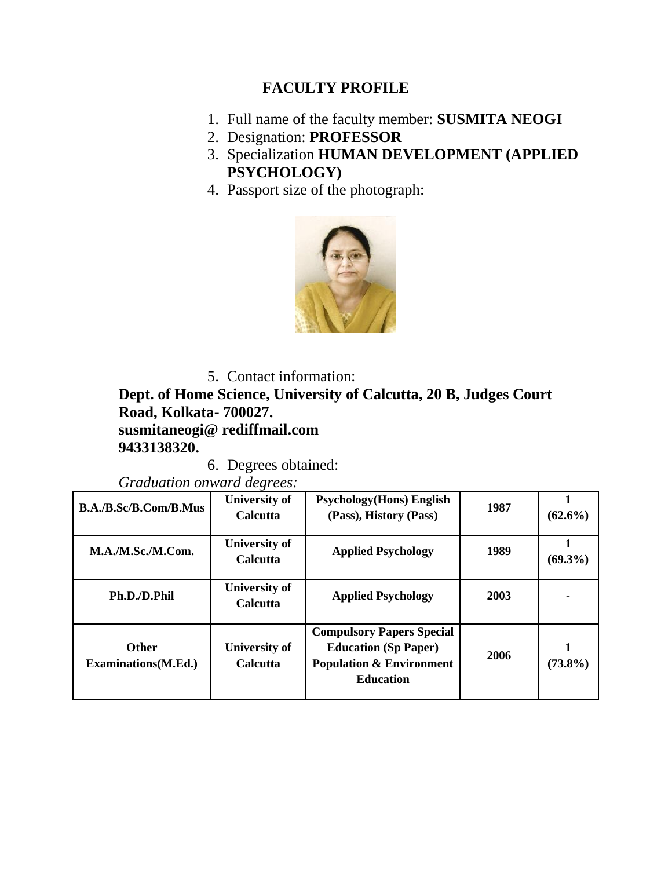## **FACULTY PROFILE**

- 1. Full name of the faculty member: **SUSMITA NEOGI**
- 2. Designation: **PROFESSOR**
- 3. Specialization **HUMAN DEVELOPMENT (APPLIED PSYCHOLOGY)**
- 4. Passport size of the photograph:



5. Contact information: **Dept. of Home Science, University of Calcutta, 20 B, Judges Court** 

**Road, Kolkata- 700027.**

**susmitaneogi@ rediffmail.com 9433138320.**

6. Degrees obtained:

*Graduation onward degrees:*

| B.A./B.Sc/B.Com/B.Mus                       | University of<br>Calcutta               | <b>Psychology</b> (Hons) English<br>(Pass), History (Pass)                                                                 | 1987 | $(62.6\%)$ |
|---------------------------------------------|-----------------------------------------|----------------------------------------------------------------------------------------------------------------------------|------|------------|
| M.A./M.Sc./M.Com.                           | University of<br>Calcutta               | <b>Applied Psychology</b>                                                                                                  | 1989 | $(69.3\%)$ |
| Ph.D./D.Phil                                | <b>University of</b><br>Calcutta        | <b>Applied Psychology</b>                                                                                                  | 2003 |            |
| <b>Other</b><br><b>Examinations</b> (M.Ed.) | <b>University of</b><br><b>Calcutta</b> | <b>Compulsory Papers Special</b><br><b>Education (Sp Paper)</b><br><b>Population &amp; Environment</b><br><b>Education</b> | 2006 | $(73.8\%)$ |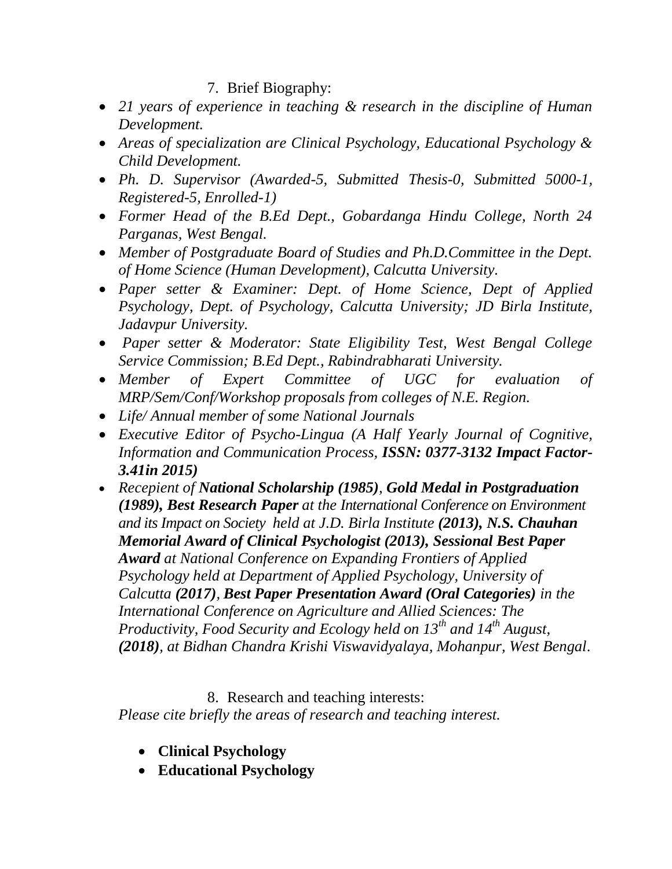### 7. Brief Biography:

- *21 years of experience in teaching & research in the discipline of Human Development.*
- *Areas of specialization are Clinical Psychology, Educational Psychology & Child Development.*
- *Ph. D. Supervisor (Awarded-5, Submitted Thesis-0, Submitted 5000-1, Registered-5, Enrolled-1)*
- *Former Head of the B.Ed Dept., Gobardanga Hindu College, North 24 Parganas, West Bengal.*
- *Member of Postgraduate Board of Studies and Ph.D.Committee in the Dept. of Home Science (Human Development), Calcutta University.*
- *Paper setter & Examiner: Dept. of Home Science, Dept of Applied Psychology, Dept. of Psychology, Calcutta University; JD Birla Institute, Jadavpur University.*
- *Paper setter & Moderator: State Eligibility Test, West Bengal College Service Commission; B.Ed Dept., Rabindrabharati University.*
- *Member of Expert Committee of UGC for evaluation of MRP/Sem/Conf/Workshop proposals from colleges of N.E. Region.*
- *Life/ Annual member of some National Journals*
- *Executive Editor of Psycho-Lingua (A Half Yearly Journal of Cognitive, Information and Communication Process, ISSN: 0377-3132 Impact Factor-3.41in 2015)*
- *Recepient of National Scholarship (1985), Gold Medal in Postgraduation (1989), Best Research Paper at the International Conference on Environment and its Impact on Society held at J.D. Birla Institute (2013), N.S. Chauhan Memorial Award of Clinical Psychologist (2013), Sessional Best Paper Award at National Conference on Expanding Frontiers of Applied Psychology held at Department of Applied Psychology, University of Calcutta (2017), Best Paper Presentation Award (Oral Categories) in the International Conference on Agriculture and Allied Sciences: The Productivity, Food Security and Ecology held on 13th and 14th August, (2018), at Bidhan Chandra Krishi Viswavidyalaya, Mohanpur, West Bengal*.

## 8. Research and teaching interests:

*Please cite briefly the areas of research and teaching interest.*

- **Clinical Psychology**
- **Educational Psychology**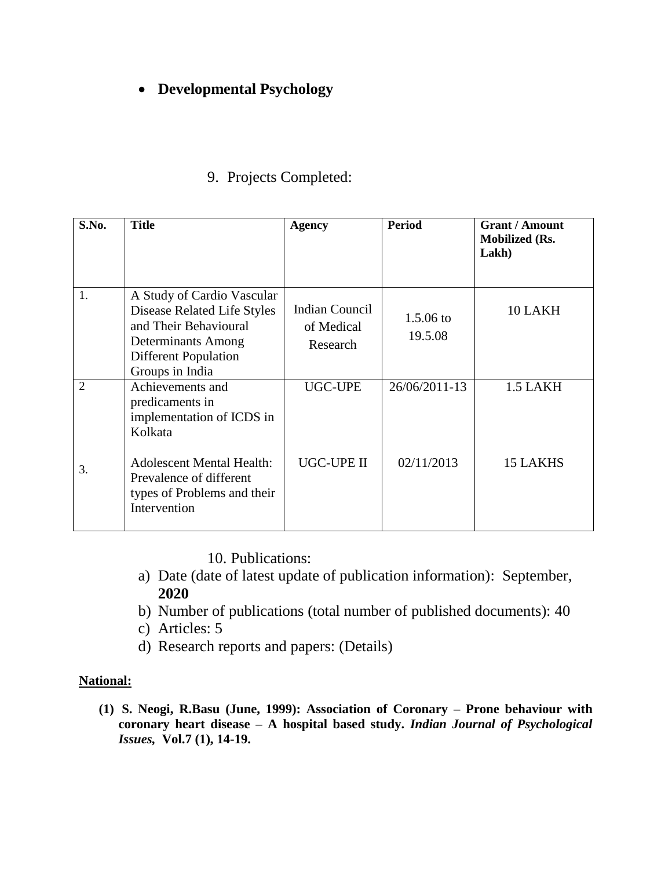# **Developmental Psychology**

| S.No.                             | <b>Title</b>                                                                                                                                                                              | <b>Agency</b>                                   | <b>Period</b>                  | <b>Grant / Amount</b><br><b>Mobilized (Rs.</b><br>Lakh) |
|-----------------------------------|-------------------------------------------------------------------------------------------------------------------------------------------------------------------------------------------|-------------------------------------------------|--------------------------------|---------------------------------------------------------|
| 1.                                | A Study of Cardio Vascular<br>Disease Related Life Styles<br>and Their Behavioural<br>Determinants Among<br><b>Different Population</b><br>Groups in India                                | <b>Indian Council</b><br>of Medical<br>Research | $1.5.06 \text{ to}$<br>19.5.08 | 10 LAKH                                                 |
| $\mathcal{D}_{\mathcal{L}}$<br>3. | Achievements and<br>predicaments in<br>implementation of ICDS in<br>Kolkata<br><b>Adolescent Mental Health:</b><br>Prevalence of different<br>types of Problems and their<br>Intervention | <b>UGC-UPE</b><br><b>UGC-UPE II</b>             | 26/06/2011-13<br>02/11/2013    | 1.5 LAKH<br><b>15 LAKHS</b>                             |

## 9. Projects Completed:

10. Publications:

- a) Date (date of latest update of publication information): September, **2020**
- b) Number of publications (total number of published documents): 40
- c) Articles: 5
- d) Research reports and papers: (Details)

#### **National:**

**(1) S. Neogi, R.Basu (June, 1999): Association of Coronary – Prone behaviour with coronary heart disease – A hospital based study.** *Indian Journal of Psychological Issues,* **Vol.7 (1), 14-19.**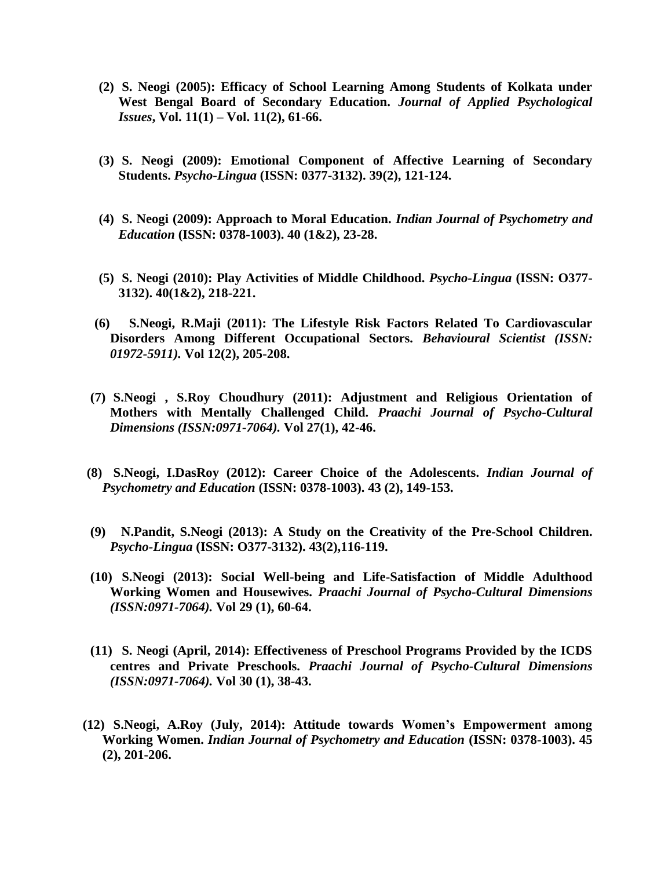- **(2) S. Neogi (2005): Efficacy of School Learning Among Students of Kolkata under West Bengal Board of Secondary Education.** *Journal of Applied Psychological Issues***, Vol. 11(1) – Vol. 11(2), 61-66.**
- **(3) S. Neogi (2009): Emotional Component of Affective Learning of Secondary Students.** *Psycho-Lingua* **(ISSN: 0377-3132). 39(2), 121-124.**
- **(4) S. Neogi (2009): Approach to Moral Education.** *Indian Journal of Psychometry and Education* **(ISSN: 0378-1003). 40 (1&2), 23-28.**
- **(5) S. Neogi (2010): Play Activities of Middle Childhood.** *Psycho-Lingua* **(ISSN: O377- 3132). 40(1&2), 218-221.**
- **(6) S.Neogi, R.Maji (2011): The Lifestyle Risk Factors Related To Cardiovascular Disorders Among Different Occupational Sectors.** *Behavioural Scientist (ISSN: 01972-5911).* **Vol 12(2), 205-208.**
- **(7) S.Neogi , S.Roy Choudhury (2011): Adjustment and Religious Orientation of Mothers with Mentally Challenged Child.** *Praachi Journal of Psycho-Cultural Dimensions (ISSN:0971-7064).* **Vol 27(1), 42-46.**
- **(8) S.Neogi, I.DasRoy (2012): Career Choice of the Adolescents.** *Indian Journal of Psychometry and Education* **(ISSN: 0378-1003). 43 (2), 149-153.**
- **(9) N.Pandit, S.Neogi (2013): A Study on the Creativity of the Pre-School Children.**  *Psycho-Lingua* **(ISSN: O377-3132). 43(2),116-119.**
- **(10) S.Neogi (2013): Social Well-being and Life-Satisfaction of Middle Adulthood Working Women and Housewives.** *Praachi Journal of Psycho-Cultural Dimensions (ISSN:0971-7064).* **Vol 29 (1), 60-64.**
- **(11) S. Neogi (April, 2014): Effectiveness of Preschool Programs Provided by the ICDS centres and Private Preschools.** *Praachi Journal of Psycho-Cultural Dimensions (ISSN:0971-7064).* **Vol 30 (1), 38-43.**
- **(12) S.Neogi, A.Roy (July, 2014): Attitude towards Women's Empowerment among Working Women.** *Indian Journal of Psychometry and Education* **(ISSN: 0378-1003). 45 (2), 201-206.**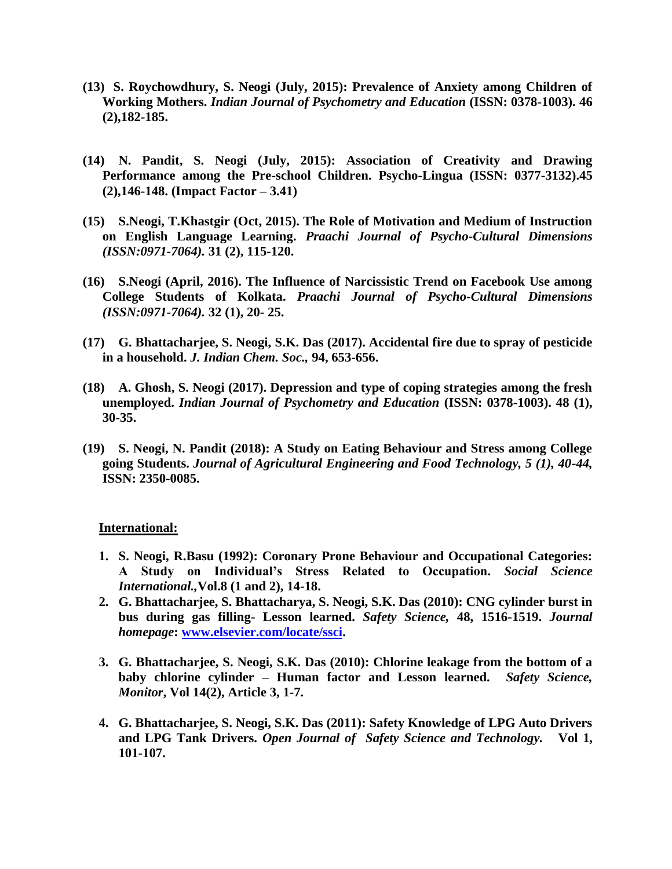- **(13) S. Roychowdhury, S. Neogi (July, 2015): Prevalence of Anxiety among Children of Working Mothers.** *Indian Journal of Psychometry and Education* **(ISSN: 0378-1003). 46 (2),182-185.**
- **(14) N. Pandit, S. Neogi (July, 2015): Association of Creativity and Drawing Performance among the Pre-school Children. Psycho-Lingua (ISSN: 0377-3132).45 (2),146-148. (Impact Factor – 3.41)**
- **(15) S.Neogi, T.Khastgir (Oct, 2015). The Role of Motivation and Medium of Instruction on English Language Learning.** *Praachi Journal of Psycho-Cultural Dimensions (ISSN:0971-7064).* **31 (2), 115-120.**
- **(16) S.Neogi (April, 2016). The Influence of Narcissistic Trend on Facebook Use among College Students of Kolkata.** *Praachi Journal of Psycho-Cultural Dimensions (ISSN:0971-7064).* **32 (1), 20- 25.**
- **(17) G. Bhattacharjee, S. Neogi, S.K. Das (2017). Accidental fire due to spray of pesticide in a household.** *J. Indian Chem. Soc.,* **94, 653-656.**
- **(18) A. Ghosh, S. Neogi (2017). Depression and type of coping strategies among the fresh unemployed.** *Indian Journal of Psychometry and Education* **(ISSN: 0378-1003). 48 (1), 30-35.**
- **(19) S. Neogi, N. Pandit (2018): A Study on Eating Behaviour and Stress among College going Students.** *Journal of Agricultural Engineering and Food Technology, 5 (1), 40-44,*  **ISSN: 2350-0085.**

#### **International:**

- **1. S. Neogi, R.Basu (1992): Coronary Prone Behaviour and Occupational Categories: A Study on Individual's Stress Related to Occupation.** *Social Science International.,***Vol.8 (1 and 2), 14-18.**
- **2. G. Bhattacharjee, S. Bhattacharya, S. Neogi, S.K. Das (2010): CNG cylinder burst in bus during gas filling- Lesson learned.** *Safety Science,* **48, 1516-1519.** *Journal homepage***: [www.elsevier.com/locate/ssci.](http://www.elsevier.com/locate/ssci)**
- **3. G. Bhattacharjee, S. Neogi, S.K. Das (2010): Chlorine leakage from the bottom of a baby chlorine cylinder – Human factor and Lesson learned.** *Safety Science, Monitor***, Vol 14(2), Article 3, 1-7.**
- **4. G. Bhattacharjee, S. Neogi, S.K. Das (2011): Safety Knowledge of LPG Auto Drivers and LPG Tank Drivers.** *Open Journal of Safety Science and Technology.* **Vol 1, 101-107.**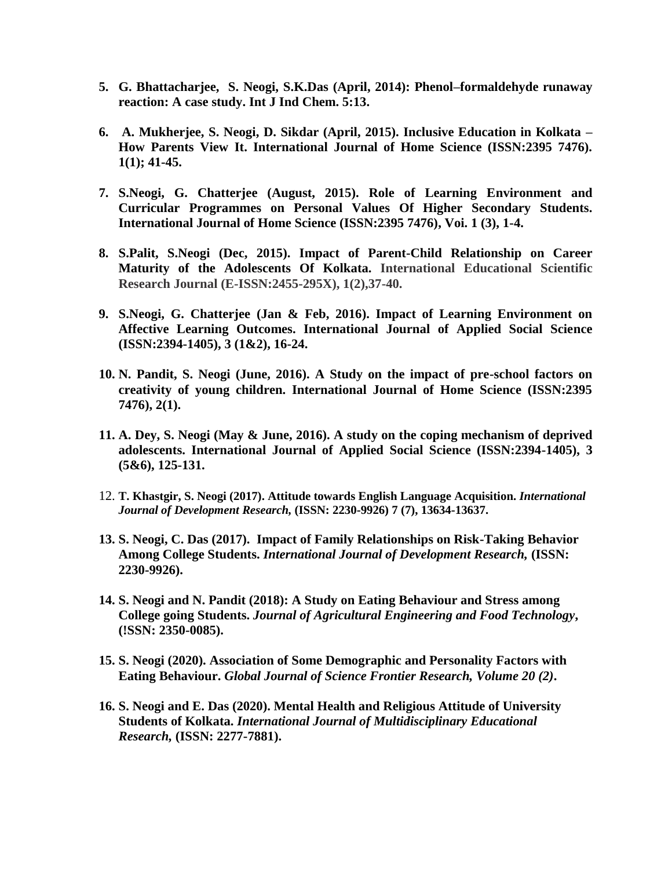- **5. G. Bhattacharjee, S. Neogi, S.K.Das (April, 2014): Phenol–formaldehyde runaway reaction: A case study. Int J Ind Chem. 5:13.**
- **6. A. Mukherjee, S. Neogi, D. Sikdar (April, 2015). Inclusive Education in Kolkata – How Parents View It. International Journal of Home Science (ISSN:2395 7476). 1(1); 41-45.**
- **7. S.Neogi, G. Chatterjee (August, 2015). Role of Learning Environment and Curricular Programmes on Personal Values Of Higher Secondary Students. International Journal of Home Science (ISSN:2395 7476), Voi. 1 (3), 1-4.**
- **8. S.Palit, S.Neogi (Dec, 2015). Impact of Parent-Child Relationship on Career Maturity of the Adolescents Of Kolkata. International Educational Scientific Research Journal (E-ISSN:2455-295X), 1(2),37-40.**
- **9. S.Neogi, G. Chatterjee (Jan & Feb, 2016). Impact of Learning Environment on Affective Learning Outcomes. International Journal of Applied Social Science (ISSN:2394-1405), 3 (1&2), 16-24.**
- **10. N. Pandit, S. Neogi (June, 2016). A Study on the impact of pre-school factors on creativity of young children. International Journal of Home Science (ISSN:2395 7476), 2(1).**
- **11. A. Dey, S. Neogi (May & June, 2016). A study on the coping mechanism of deprived adolescents. International Journal of Applied Social Science (ISSN:2394-1405), 3 (5&6), 125-131.**
- 12. **T. Khastgir, S. Neogi (2017). Attitude towards English Language Acquisition.** *International Journal of Development Research,* **(ISSN: 2230-9926) 7 (7), 13634-13637.**
- **13. S. Neogi, C. Das (2017). Impact of Family Relationships on Risk-Taking Behavior Among College Students.** *International Journal of Development Research,* **(ISSN: 2230-9926).**
- **14. S. Neogi and N. Pandit (2018): A Study on Eating Behaviour and Stress among College going Students.** *Journal of Agricultural Engineering and Food Technology***, (!SSN: 2350-0085).**
- **15. S. Neogi (2020). Association of Some Demographic and Personality Factors with Eating Behaviour.** *Global Journal of Science Frontier Research, Volume 20 (2)***.**
- **16. S. Neogi and E. Das (2020). Mental Health and Religious Attitude of University Students of Kolkata.** *International Journal of Multidisciplinary Educational Research,* **(ISSN: 2277-7881).**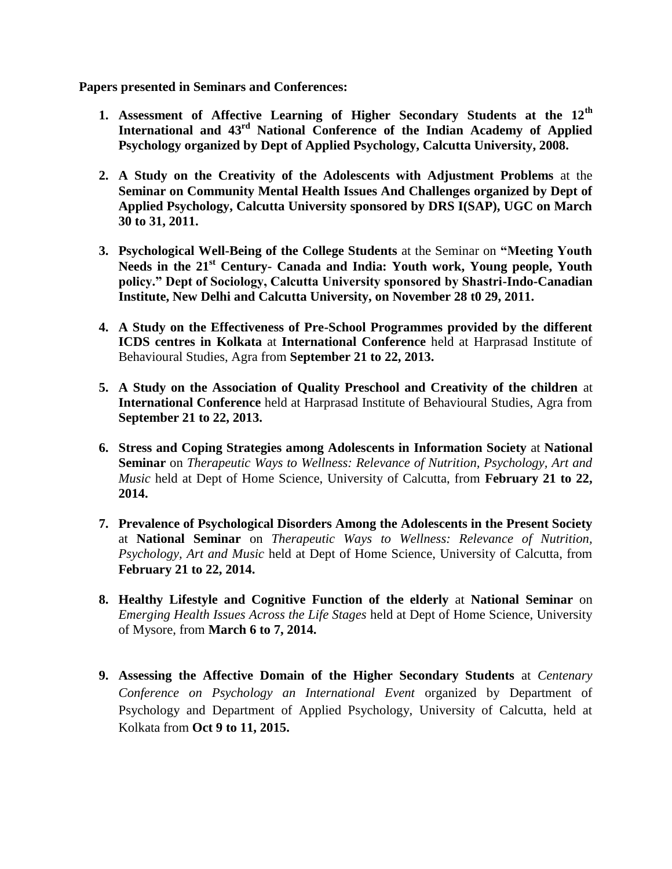**Papers presented in Seminars and Conferences:**

- **1. Assessment of Affective Learning of Higher Secondary Students at the 12th International and 43rd National Conference of the Indian Academy of Applied Psychology organized by Dept of Applied Psychology, Calcutta University, 2008.**
- **2. A Study on the Creativity of the Adolescents with Adjustment Problems** at the **Seminar on Community Mental Health Issues And Challenges organized by Dept of Applied Psychology, Calcutta University sponsored by DRS I(SAP), UGC on March 30 to 31, 2011.**
- **3. Psychological Well-Being of the College Students** at the Seminar on **"Meeting Youth Needs in the 21st Century- Canada and India: Youth work, Young people, Youth policy." Dept of Sociology, Calcutta University sponsored by Shastri-Indo-Canadian Institute, New Delhi and Calcutta University, on November 28 t0 29, 2011.**
- **4. A Study on the Effectiveness of Pre-School Programmes provided by the different ICDS centres in Kolkata** at **International Conference** held at Harprasad Institute of Behavioural Studies, Agra from **September 21 to 22, 2013.**
- **5. A Study on the Association of Quality Preschool and Creativity of the children** at **International Conference** held at Harprasad Institute of Behavioural Studies, Agra from **September 21 to 22, 2013.**
- **6. Stress and Coping Strategies among Adolescents in Information Society** at **National Seminar** on *Therapeutic Ways to Wellness: Relevance of Nutrition, Psychology, Art and Music* held at Dept of Home Science, University of Calcutta, from **February 21 to 22, 2014.**
- **7. Prevalence of Psychological Disorders Among the Adolescents in the Present Society** at **National Seminar** on *Therapeutic Ways to Wellness: Relevance of Nutrition, Psychology, Art and Music* held at Dept of Home Science, University of Calcutta, from **February 21 to 22, 2014.**
- **8. Healthy Lifestyle and Cognitive Function of the elderly** at **National Seminar** on *Emerging Health Issues Across the Life Stages* held at Dept of Home Science, University of Mysore, from **March 6 to 7, 2014.**
- **9. Assessing the Affective Domain of the Higher Secondary Students** at *Centenary Conference on Psychology an International Event* organized by Department of Psychology and Department of Applied Psychology, University of Calcutta, held at Kolkata from **Oct 9 to 11, 2015.**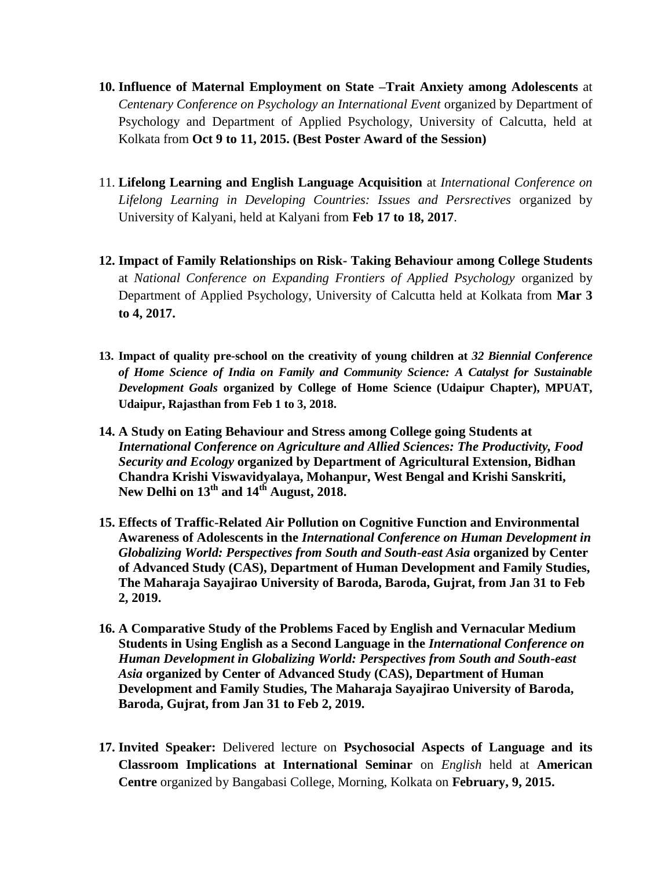- **10. Influence of Maternal Employment on State –Trait Anxiety among Adolescents** at *Centenary Conference on Psychology an International Event* organized by Department of Psychology and Department of Applied Psychology, University of Calcutta, held at Kolkata from **Oct 9 to 11, 2015. (Best Poster Award of the Session)**
- 11. **Lifelong Learning and English Language Acquisition** at *International Conference on Lifelong Learning in Developing Countries: Issues and Persrectives* organized by University of Kalyani, held at Kalyani from **Feb 17 to 18, 2017**.
- **12. Impact of Family Relationships on Risk- Taking Behaviour among College Students**  at *National Conference on Expanding Frontiers of Applied Psychology* organized by Department of Applied Psychology, University of Calcutta held at Kolkata from **Mar 3 to 4, 2017.**
- **13. Impact of quality pre-school on the creativity of young children at** *32 Biennial Conference of Home Science of India on Family and Community Science: A Catalyst for Sustainable Development Goals* **organized by College of Home Science (Udaipur Chapter), MPUAT, Udaipur, Rajasthan from Feb 1 to 3, 2018.**
- **14. A Study on Eating Behaviour and Stress among College going Students at**  *International Conference on Agriculture and Allied Sciences: The Productivity, Food Security and Ecology* **organized by Department of Agricultural Extension, Bidhan Chandra Krishi Viswavidyalaya, Mohanpur, West Bengal and Krishi Sanskriti, New Delhi on 13th and 14th August, 2018.**
- **15. Effects of Traffic-Related Air Pollution on Cognitive Function and Environmental Awareness of Adolescents in the** *International Conference on Human Development in Globalizing World: Perspectives from South and South-east Asia* **organized by Center of Advanced Study (CAS), Department of Human Development and Family Studies, The Maharaja Sayajirao University of Baroda, Baroda, Gujrat, from Jan 31 to Feb 2, 2019.**
- **16. A Comparative Study of the Problems Faced by English and Vernacular Medium Students in Using English as a Second Language in the** *International Conference on Human Development in Globalizing World: Perspectives from South and South-east Asia* **organized by Center of Advanced Study (CAS), Department of Human Development and Family Studies, The Maharaja Sayajirao University of Baroda, Baroda, Gujrat, from Jan 31 to Feb 2, 2019.**
- **17. Invited Speaker:** Delivered lecture on **Psychosocial Aspects of Language and its Classroom Implications at International Seminar** on *English* held at **American Centre** organized by Bangabasi College, Morning, Kolkata on **February, 9, 2015.**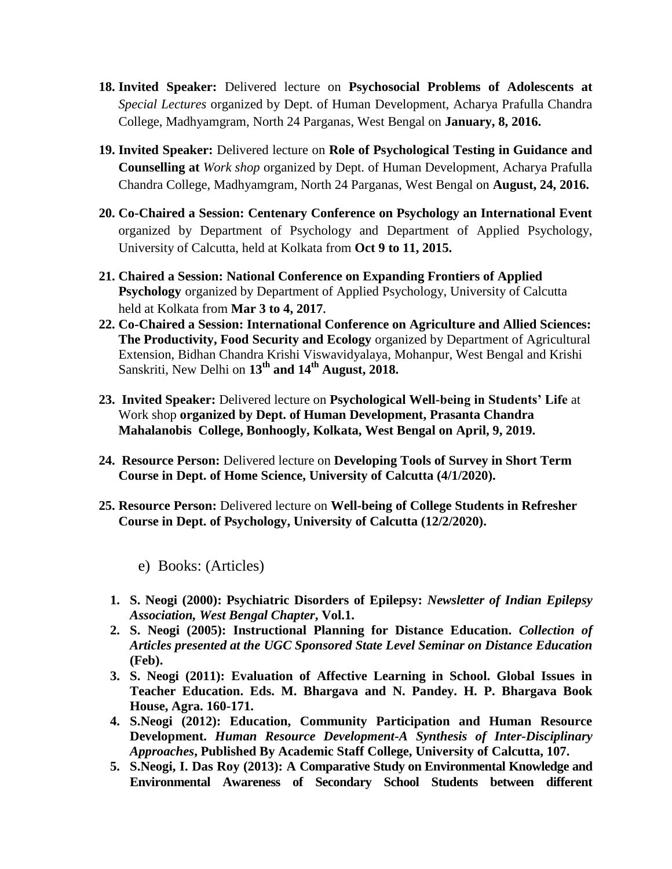- **18. Invited Speaker:** Delivered lecture on **Psychosocial Problems of Adolescents at**  *Special Lectures* organized by Dept. of Human Development, Acharya Prafulla Chandra College, Madhyamgram, North 24 Parganas, West Bengal on **January, 8, 2016.**
- **19. Invited Speaker:** Delivered lecture on **Role of Psychological Testing in Guidance and Counselling at** *Work shop* organized by Dept. of Human Development, Acharya Prafulla Chandra College, Madhyamgram, North 24 Parganas, West Bengal on **August, 24, 2016.**
- **20. Co-Chaired a Session: Centenary Conference on Psychology an International Event** organized by Department of Psychology and Department of Applied Psychology, University of Calcutta, held at Kolkata from **Oct 9 to 11, 2015.**
- **21. Chaired a Session: National Conference on Expanding Frontiers of Applied Psychology** organized by Department of Applied Psychology, University of Calcutta held at Kolkata from **Mar 3 to 4, 2017***.*
- **22. Co-Chaired a Session: International Conference on Agriculture and Allied Sciences: The Productivity, Food Security and Ecology** organized by Department of Agricultural Extension, Bidhan Chandra Krishi Viswavidyalaya, Mohanpur, West Bengal and Krishi Sanskriti, New Delhi on **13th and 14th August, 2018.**
- **23. Invited Speaker:** Delivered lecture on **Psychological Well-being in Students' Life** at Work shop **organized by Dept. of Human Development, Prasanta Chandra Mahalanobis College, Bonhoogly, Kolkata, West Bengal on April, 9, 2019.**
- **24. Resource Person:** Delivered lecture on **Developing Tools of Survey in Short Term Course in Dept. of Home Science, University of Calcutta (4/1/2020).**
- **25. Resource Person:** Delivered lecture on **Well-being of College Students in Refresher Course in Dept. of Psychology, University of Calcutta (12/2/2020).**
	- e) Books: (Articles)
	- **1. S. Neogi (2000): Psychiatric Disorders of Epilepsy:** *Newsletter of Indian Epilepsy Association, West Bengal Chapter***, Vol.1.**
	- **2. S. Neogi (2005): Instructional Planning for Distance Education.** *Collection of Articles presented at the UGC Sponsored State Level Seminar on Distance Education*  **(Feb).**
	- **3. S. Neogi (2011): Evaluation of Affective Learning in School. Global Issues in Teacher Education. Eds. M. Bhargava and N. Pandey. H. P. Bhargava Book House, Agra. 160-171.**
	- **4. S.Neogi (2012): Education, Community Participation and Human Resource Development.** *Human Resource Development-A Synthesis of Inter-Disciplinary Approaches***, Published By Academic Staff College, University of Calcutta, 107.**
	- **5. S.Neogi, I. Das Roy (2013): A Comparative Study on Environmental Knowledge and Environmental Awareness of Secondary School Students between different**